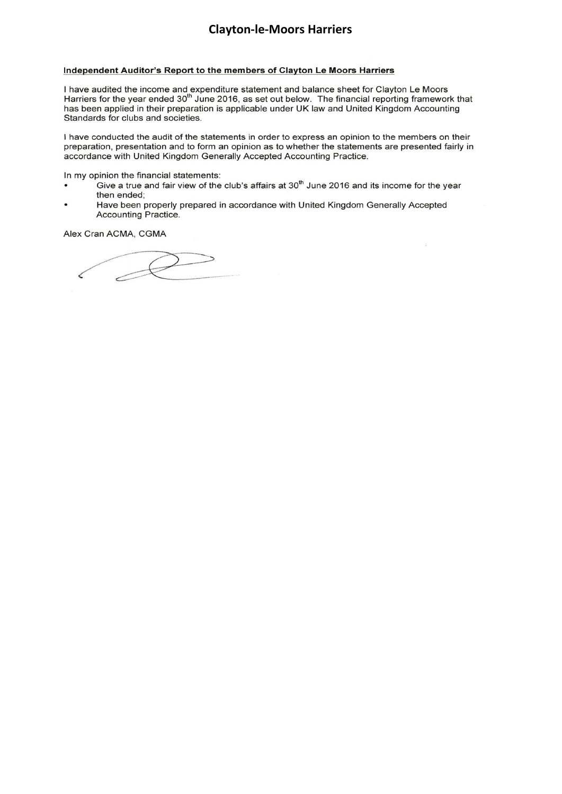#### Independent Auditor's Report to the members of Clayton Le Moors Harriers

I have audited the income and expenditure statement and balance sheet for Clayton Le Moors Harriers for the year ended 30<sup>th</sup> June 2016, as set out below. The financial reporting framework that has been applied in their preparation is applicable under UK law and United Kingdom Accounting Standards for clubs and societies.

I have conducted the audit of the statements in order to express an opinion to the members on their preparation, presentation and to form an opinion as to whether the statements are presented fairly in accordance with United Kingdom Generally Accepted Accounting Practice.

In my opinion the financial statements:

Give a true and fair view of the club's affairs at 30<sup>th</sup> June 2016 and its income for the year then ended;

÷.

Have been properly prepared in accordance with United Kingdom Generally Accepted Accounting Practice.

Alex Cran ACMA, CGMA

 $\mathcal{D}$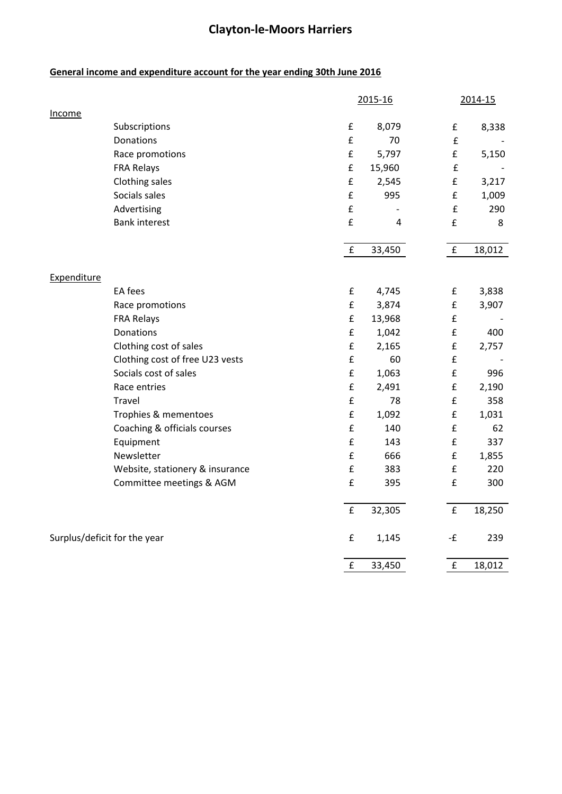### **General income and expenditure account for the year ending 30th June 2016**

|                              |                                 | 2015-16            |                | 2014-15            |        |
|------------------------------|---------------------------------|--------------------|----------------|--------------------|--------|
| Income                       |                                 |                    |                |                    |        |
|                              | Subscriptions                   | $\pmb{\mathsf{f}}$ | 8,079          | £                  | 8,338  |
|                              | <b>Donations</b>                | $\pmb{\mathsf{f}}$ | 70             | £                  |        |
|                              | Race promotions                 | $\mathbf f$        | 5,797          | £                  | 5,150  |
|                              | <b>FRA Relays</b>               | $\pmb{\mathsf{f}}$ | 15,960         | $\pmb{\mathsf{f}}$ |        |
|                              | Clothing sales                  | $\pmb{\mathsf{f}}$ | 2,545          | £                  | 3,217  |
|                              | Socials sales                   | $\pmb{\mathsf{f}}$ | 995            | $\pmb{\mathsf{f}}$ | 1,009  |
|                              | Advertising                     | $\pmb{\mathsf{f}}$ |                | $\pmb{\mathsf{f}}$ | 290    |
|                              | <b>Bank interest</b>            | £                  | $\overline{4}$ | $\pmb{\mathsf{f}}$ | 8      |
|                              |                                 | $\pmb{\mathsf{f}}$ | 33,450         | $\pmb{\mathsf{f}}$ | 18,012 |
|                              |                                 |                    |                |                    |        |
| Expenditure                  | EA fees                         | $\pmb{\mathsf{f}}$ | 4,745          | £                  | 3,838  |
|                              | Race promotions                 | $\pmb{\mathsf{f}}$ | 3,874          | $\pmb{\mathsf{f}}$ | 3,907  |
|                              | <b>FRA Relays</b>               | £                  | 13,968         | $\mathbf f$        |        |
|                              | Donations                       | $\pmb{\mathsf{f}}$ | 1,042          | £                  | 400    |
|                              | Clothing cost of sales          | $\pmb{\mathsf{f}}$ | 2,165          | $\pmb{\mathsf{f}}$ | 2,757  |
|                              | Clothing cost of free U23 vests | £                  | 60             | $\mathbf f$        |        |
|                              | Socials cost of sales           | $\pmb{\mathsf{f}}$ | 1,063          | £                  | 996    |
|                              | Race entries                    | $\pmb{\mathsf{f}}$ | 2,491          | $\pmb{\mathsf{f}}$ | 2,190  |
|                              | Travel                          | £                  | 78             | $\pmb{\mathsf{f}}$ | 358    |
|                              | Trophies & mementoes            | $\pmb{\mathsf{f}}$ | 1,092          | $\pmb{\mathsf{f}}$ | 1,031  |
|                              | Coaching & officials courses    | £                  | 140            | £                  | 62     |
|                              | Equipment                       | £                  | 143            | $\pmb{\mathsf{f}}$ | 337    |
|                              | Newsletter                      | $\pmb{\mathsf{f}}$ | 666            | $\pmb{\mathsf{f}}$ | 1,855  |
|                              |                                 | $\pmb{\mathsf{f}}$ | 383            | $\pmb{\mathsf{f}}$ | 220    |
|                              | Website, stationery & insurance | £                  |                | $\pmb{\mathsf{f}}$ |        |
|                              | Committee meetings & AGM        |                    | 395            |                    | 300    |
|                              |                                 | $\pmb{\mathsf{f}}$ | 32,305         | $\pmb{\mathsf{f}}$ | 18,250 |
| Surplus/deficit for the year |                                 | £                  | 1,145          | -£                 | 239    |
|                              |                                 | $\pmb{\mathsf{f}}$ | 33,450         | $\mathbf f$        | 18,012 |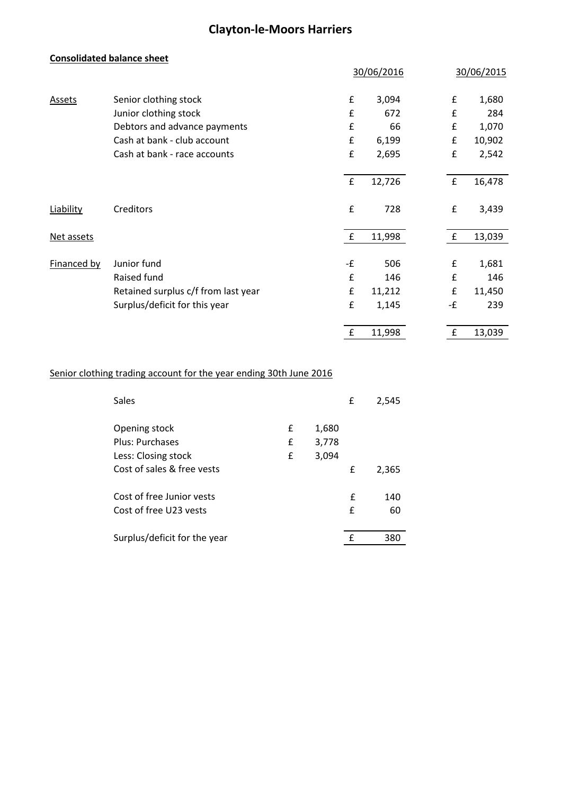#### **Consolidated balance sheet**

|               |                                     |                    | 30/06/2016 |             | 30/06/2015 |
|---------------|-------------------------------------|--------------------|------------|-------------|------------|
| <b>Assets</b> | Senior clothing stock               | $\pmb{\mathsf{f}}$ | 3,094      | £           | 1,680      |
|               | Junior clothing stock               | £                  | 672        | £           | 284        |
|               | Debtors and advance payments        | £                  | 66         | £           | 1,070      |
|               | Cash at bank - club account         | £                  | 6,199      | £           | 10,902     |
|               | Cash at bank - race accounts        | £                  | 2,695      | £           | 2,542      |
|               |                                     | $\pmb{\mathsf{f}}$ | 12,726     | $\mathbf f$ | 16,478     |
| Liability     | Creditors                           | £                  | 728        | £           | 3,439      |
| Net assets    |                                     | $\mathbf{f}$       | 11,998     | $\mathbf f$ | 13,039     |
| Financed by   | Junior fund                         | -£                 | 506        | £           | 1,681      |
|               | Raised fund                         | £                  | 146        | £           | 146        |
|               | Retained surplus c/f from last year | £                  | 11,212     | £           | 11,450     |
|               | Surplus/deficit for this year       | £                  | 1,145      | -£          | 239        |
|               |                                     | £                  | 11,998     | £           | 13,039     |

#### Senior clothing trading account for the year ending 30th June 2016

| Sales                        |   |       | £ | 2,545 |
|------------------------------|---|-------|---|-------|
| Opening stock                | £ | 1,680 |   |       |
| Plus: Purchases              | £ | 3,778 |   |       |
| Less: Closing stock          | £ | 3,094 |   |       |
| Cost of sales & free vests   |   |       | £ | 2,365 |
| Cost of free Junior vests    |   |       | f | 140   |
| Cost of free U23 vests       |   |       | £ | 60    |
| Surplus/deficit for the year |   |       | f | 380   |
|                              |   |       |   |       |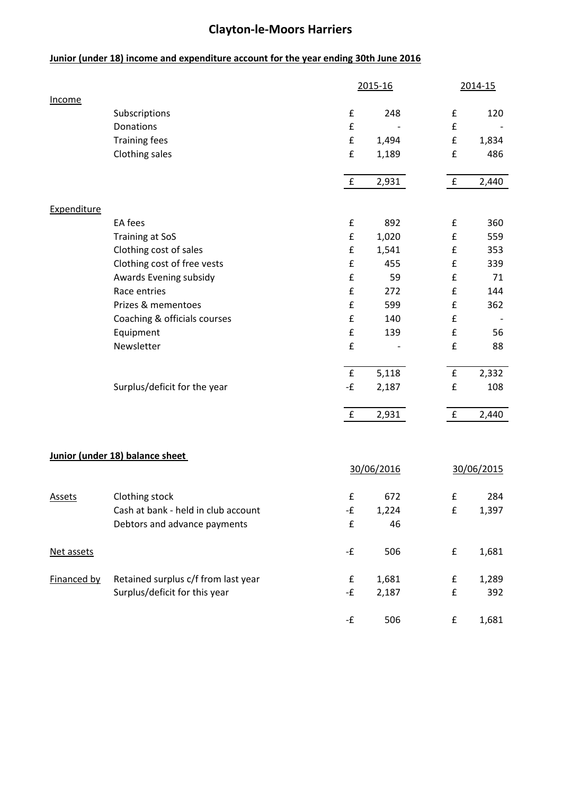### **Junior (under 18) income and expenditure account for the year ending 30th June 2016**

|               |                                        |                    | 2015-16    |                                          | 2014-15    |
|---------------|----------------------------------------|--------------------|------------|------------------------------------------|------------|
| Income        | Subscriptions                          | £                  | 248        | £                                        | 120        |
|               | Donations                              | £                  |            | $\pmb{\mathsf{f}}$                       |            |
|               | <b>Training fees</b>                   | $\pmb{\mathsf{f}}$ | 1,494      | £                                        | 1,834      |
|               | Clothing sales                         | $\pmb{\mathsf{f}}$ | 1,189      | $\pmb{\mathsf{f}}$                       | 486        |
|               |                                        | $\mathbf f$        | 2,931      | f                                        | 2,440      |
|               |                                        |                    |            |                                          |            |
| Expenditure   | EA fees                                | £                  | 892        | £                                        | 360        |
|               |                                        | $\pmb{\mathsf{f}}$ |            | $\pmb{\mathsf{f}}$                       |            |
|               | <b>Training at SoS</b>                 | $\pmb{\mathsf{f}}$ | 1,020      | $\pmb{\mathsf{f}}$                       | 559        |
|               | Clothing cost of sales                 | £                  | 1,541      |                                          | 353        |
|               | Clothing cost of free vests            | $\pmb{\mathsf{f}}$ | 455<br>59  | $\pmb{\mathsf{f}}$<br>$\pmb{\mathsf{f}}$ | 339<br>71  |
|               | Awards Evening subsidy<br>Race entries | £                  | 272        | $\pmb{\mathsf{f}}$                       | 144        |
|               | Prizes & mementoes                     | $\pmb{\mathsf{f}}$ |            | $\pmb{\mathsf{f}}$                       |            |
|               |                                        | $\pmb{\mathsf{f}}$ | 599<br>140 | $\pmb{\mathsf{f}}$                       | 362        |
|               | Coaching & officials courses           | $\pmb{\mathsf{f}}$ |            | $\pmb{\mathsf{f}}$                       |            |
|               | Equipment                              |                    | 139        |                                          | 56         |
|               | Newsletter                             | $\pmb{\mathsf{f}}$ |            | $\pmb{\mathsf{f}}$                       | 88         |
|               |                                        | $\pmb{\mathsf{f}}$ | 5,118      | $\mathbf f$                              | 2,332      |
|               | Surplus/deficit for the year           | -£                 | 2,187      | $\pmb{\mathsf{f}}$                       | 108        |
|               |                                        | f                  | 2,931      | f                                        | 2,440      |
|               |                                        |                    |            |                                          |            |
|               | Junior (under 18) balance sheet        |                    |            |                                          |            |
|               |                                        |                    | 30/06/2016 |                                          | 30/06/2015 |
| <b>Assets</b> | Clothing stock                         | £                  | 672        | £                                        | 284        |
|               | Cash at bank - held in club account    | -£                 | 1,224      | $\mathbf f$                              | 1,397      |
|               | Debtors and advance payments           | $\mathbf f$        | 46         |                                          |            |
| Net assets    |                                        | -£                 | 506        | £                                        | 1,681      |
| Financed by   | Retained surplus c/f from last year    | £                  | 1,681      | £                                        | 1,289      |
|               | Surplus/deficit for this year          | -£                 | 2,187      | $\pmb{\mathsf{f}}$                       | 392        |
|               |                                        | -£                 | 506        | £                                        | 1,681      |